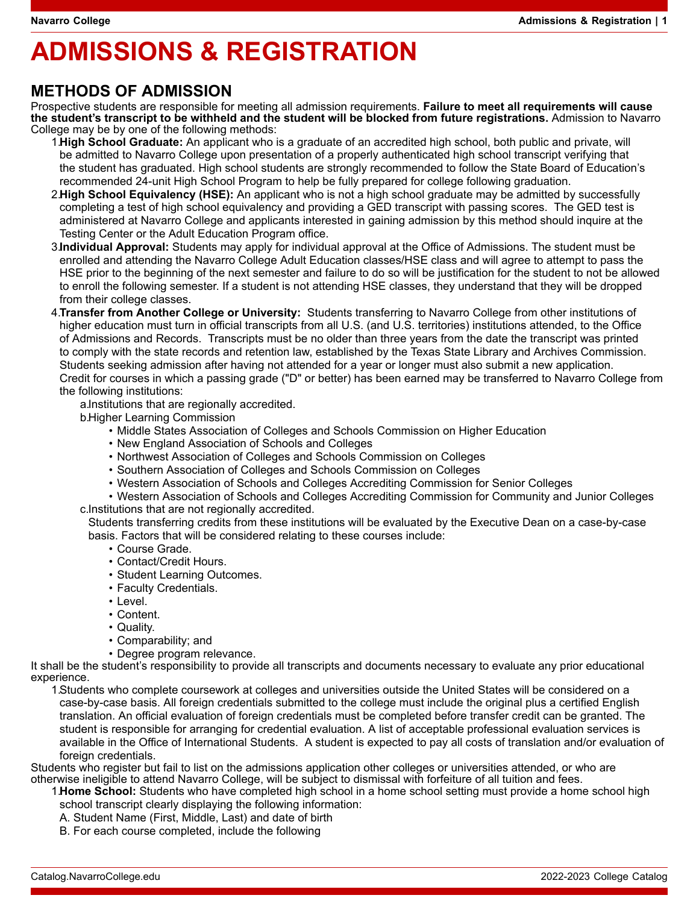# **ADMISSIONS & REGISTRATION**

## **METHODS OF ADMISSION**

Prospective students are responsible for meeting all admission requirements. **Failure to meet all requirements will cause the student's transcript to be withheld and the student will be blocked from future registrations.** Admission to Navarro College may be by one of the following methods:

1.**High School Graduate:** An applicant who is a graduate of an accredited high school, both public and private, will be admitted to Navarro College upon presentation of a properly authenticated high school transcript verifying that the student has graduated. High school students are strongly recommended to follow the State Board of Education's recommended 24-unit High School Program to help be fully prepared for college following graduation.

- 2.**High School Equivalency (HSE):** An applicant who is not a high school graduate may be admitted by successfully completing a test of high school equivalency and providing a GED transcript with passing scores. The GED test is administered at Navarro College and applicants interested in gaining admission by this method should inquire at the Testing Center or the Adult Education Program office.
- 3.**Individual Approval:** Students may apply for individual approval at the Office of Admissions. The student must be enrolled and attending the Navarro College Adult Education classes/HSE class and will agree to attempt to pass the HSE prior to the beginning of the next semester and failure to do so will be justification for the student to not be allowed to enroll the following semester. If a student is not attending HSE classes, they understand that they will be dropped from their college classes.

4.**Transfer from Another College or University:** Students transferring to Navarro College from other institutions of higher education must turn in official transcripts from all U.S. (and U.S. territories) institutions attended, to the Office of Admissions and Records. Transcripts must be no older than three years from the date the transcript was printed to comply with the state records and retention law, established by the Texas State Library and Archives Commission. Students seeking admission after having not attended for a year or longer must also submit a new application. Credit for courses in which a passing grade ("D" or better) has been earned may be transferred to Navarro College from the following institutions:

a.Institutions that are regionally accredited.

b.Higher Learning Commission

- Middle States Association of Colleges and Schools Commission on Higher Education
- New England Association of Schools and Colleges
- Northwest Association of Colleges and Schools Commission on Colleges
- Southern Association of Colleges and Schools Commission on Colleges
- Western Association of Schools and Colleges Accrediting Commission for Senior Colleges

• Western Association of Schools and Colleges Accrediting Commission for Community and Junior Colleges c.Institutions that are not regionally accredited.

Students transferring credits from these institutions will be evaluated by the Executive Dean on a case-by-case basis. Factors that will be considered relating to these courses include:

- Course Grade.
- Contact/Credit Hours.
- Student Learning Outcomes.
- Faculty Credentials.
- Level.
- Content.
- Quality.
- Comparability; and
- Degree program relevance.

It shall be the student's responsibility to provide all transcripts and documents necessary to evaluate any prior educational experience.

1.Students who complete coursework at colleges and universities outside the United States will be considered on a case-by-case basis. All foreign credentials submitted to the college must include the original plus a certified English translation. An official evaluation of foreign credentials must be completed before transfer credit can be granted. The student is responsible for arranging for credential evaluation. A list of acceptable professional evaluation services is available in the Office of International Students. A student is expected to pay all costs of translation and/or evaluation of foreign credentials.

Students who register but fail to list on the admissions application other colleges or universities attended, or who are otherwise ineligible to attend Navarro College, will be subject to dismissal with forfeiture of all tuition and fees.

1.**Home School:** Students who have completed high school in a home school setting must provide a home school high school transcript clearly displaying the following information:

- A. Student Name (First, Middle, Last) and date of birth
- B. For each course completed, include the following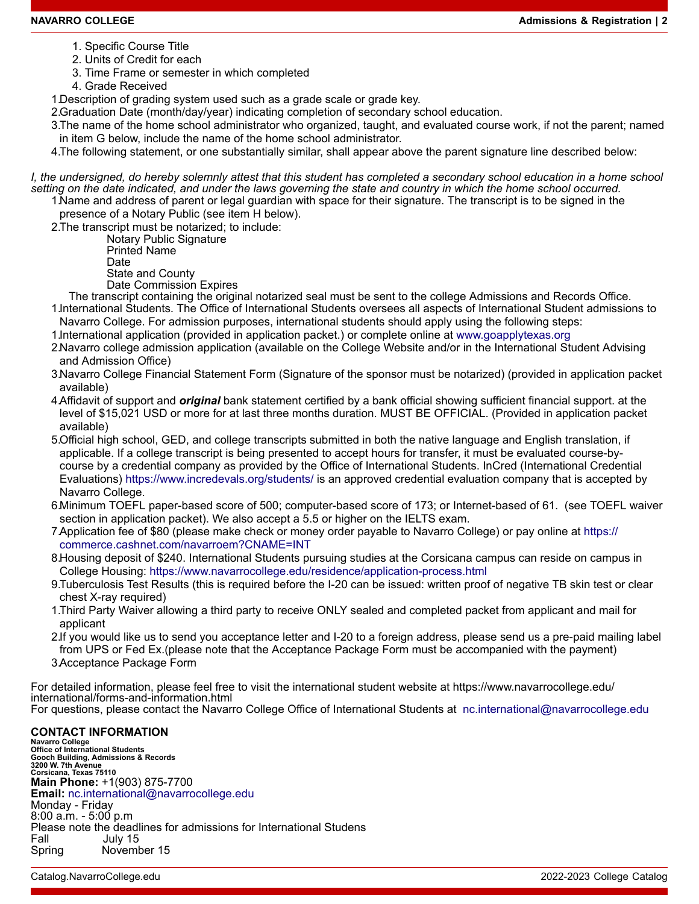- 1. Specific Course Title
- 2. Units of Credit for each
- 3. Time Frame or semester in which completed
- 4. Grade Received

1.Description of grading system used such as a grade scale or grade key.

2.Graduation Date (month/day/year) indicating completion of secondary school education.

3.The name of the home school administrator who organized, taught, and evaluated course work, if not the parent; named in item G below, include the name of the home school administrator.

4.The following statement, or one substantially similar, shall appear above the parent signature line described below:

*I, the undersigned, do hereby solemnly attest that this student has completed a secondary school education in a home school setting on the date indicated, and under the laws governing the state and country in which the home school occurred.* 1.Name and address of parent or legal guardian with space for their signature. The transcript is to be signed in the

presence of a Notary Public (see item H below).

2.The transcript must be notarized; to include:

 Notary Public Signature Printed Name

Date

 State and County Date Commission Expires

The transcript containing the original notarized seal must be sent to the college Admissions and Records Office.

1.International Students. The Office of International Students oversees all aspects of International Student admissions to Navarro College. For admission purposes, international students should apply using the following steps:

1.International application (provided in application packet.) or complete online at [www.goapplytexas.org](http://www.goapplytexas.org)

2.Navarro college admission application (available on the College Website and/or in the International Student Advising and Admission Office)

3.Navarro College Financial Statement Form (Signature of the sponsor must be notarized) (provided in application packet available)

- 4.Affidavit of support and *original* bank statement certified by a bank official showing sufficient financial support. at the level of \$15,021 USD or more for at last three months duration. MUST BE OFFICIAL. (Provided in application packet available)
- 5.Official high school, GED, and college transcripts submitted in both the native language and English translation, if applicable. If a college transcript is being presented to accept hours for transfer, it must be evaluated course-bycourse by a credential company as provided by the Office of International Students. InCred (International Credential Evaluations) <https://www.incredevals.org/students/>is an approved credential evaluation company that is accepted by Navarro College.
- 6.Minimum TOEFL paper-based score of 500; computer-based score of 173; or Internet-based of 61. (see TOEFL waiver section in application packet). We also accept a 5.5 or higher on the IELTS exam.
- 7.Application fee of \$80 (please make check or money order payable to Navarro College) or pay online at [https://](https://commerce.cashnet.com/navarroem?CNAME=INT) [commerce.cashnet.com/navarroem?CNAME=INT](https://commerce.cashnet.com/navarroem?CNAME=INT)
- 8.Housing deposit of \$240. International Students pursuing studies at the Corsicana campus can reside on campus in College Housing:<https://www.navarrocollege.edu/residence/application-process.html>
- 9.Tuberculosis Test Results (this is required before the I-20 can be issued: written proof of negative TB skin test or clear chest X-ray required)
- 1.Third Party Waiver allowing a third party to receive ONLY sealed and completed packet from applicant and mail for applicant
- 2.If you would like us to send you acceptance letter and I-20 to a foreign address, please send us a pre-paid mailing label from UPS or Fed Ex.(please note that the Acceptance Package Form must be accompanied with the payment) 3.Acceptance Package Form

For detailed information, please feel free to visit the international student website at https://www.navarrocollege.edu/ international/forms-and-information.html For questions, please contact the Navarro College Office of International Students at [nc.international@navarrocollege.edu](mailto:nc.international@navarrocollege.edu)

### **CONTACT INFORMATION**

**Navarro College Office of International Students Gooch Building, Admissions & Records 3200 W. 7th Avenue Corsicana, Texas 75110 Main Phone:** +1(903) 875-7700 **Email:** [nc.international@navarrocollege.edu](mailto:nc.international@navarrocollege.edu) Monday - Friday 8:00 a.m. - 5:00 p.m Please note the deadlines for admissions for International Studens<br>Fall Uuly 15 July 15 Spring November 15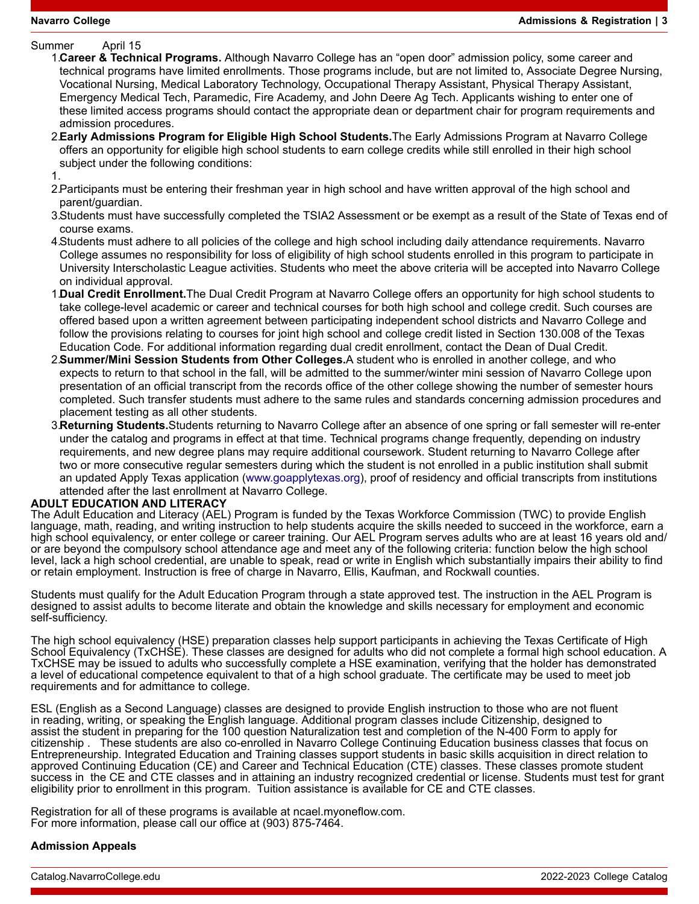Summer April 15

1.**Career & Technical Programs.** Although Navarro College has an "open door" admission policy, some career and technical programs have limited enrollments. Those programs include, but are not limited to, Associate Degree Nursing, Vocational Nursing, Medical Laboratory Technology, Occupational Therapy Assistant, Physical Therapy Assistant, Emergency Medical Tech, Paramedic, Fire Academy, and John Deere Ag Tech. Applicants wishing to enter one of these limited access programs should contact the appropriate dean or department chair for program requirements and admission procedures.

- 2.**Early Admissions Program for Eligible High School Students.**The Early Admissions Program at Navarro College offers an opportunity for eligible high school students to earn college credits while still enrolled in their high school subject under the following conditions:
- 1.
- 2.Participants must be entering their freshman year in high school and have written approval of the high school and parent/guardian.
- 3.Students must have successfully completed the TSIA2 Assessment or be exempt as a result of the State of Texas end of course exams.
- 4.Students must adhere to all policies of the college and high school including daily attendance requirements. Navarro College assumes no responsibility for loss of eligibility of high school students enrolled in this program to participate in University Interscholastic League activities. Students who meet the above criteria will be accepted into Navarro College on individual approval.
- 1.**Dual Credit Enrollment.**The Dual Credit Program at Navarro College offers an opportunity for high school students to take college-level academic or career and technical courses for both high school and college credit. Such courses are offered based upon a written agreement between participating independent school districts and Navarro College and follow the provisions relating to courses for joint high school and college credit listed in Section 130.008 of the Texas Education Code. For additional information regarding dual credit enrollment, contact the Dean of Dual Credit.
- 2.**Summer/Mini Session Students from Other Colleges.**A student who is enrolled in another college, and who expects to return to that school in the fall, will be admitted to the summer/winter mini session of Navarro College upon presentation of an official transcript from the records office of the other college showing the number of semester hours completed. Such transfer students must adhere to the same rules and standards concerning admission procedures and placement testing as all other students.
- 3.**Returning Students.**Students returning to Navarro College after an absence of one spring or fall semester will re-enter under the catalog and programs in effect at that time. Technical programs change frequently, depending on industry requirements, and new degree plans may require additional coursework. Student returning to Navarro College after two or more consecutive regular semesters during which the student is not enrolled in a public institution shall submit an updated Apply Texas application ([www.goapplytexas.org\)](http://www.goapplytexas.org), proof of residency and official transcripts from institutions attended after the last enrollment at Navarro College.

### **ADULT EDUCATION AND LITERACY**

The Adult Education and Literacy (AEL) Program is funded by the Texas Workforce Commission (TWC) to provide English language, math, reading, and writing instruction to help students acquire the skills needed to succeed in the workforce, earn a high school equivalency, or enter college or career training. Our AEL Program serves adults who are at least 16 years old and/ or are beyond the compulsory school attendance age and meet any of the following criteria: function below the high school level, lack a high school credential, are unable to speak, read or write in English which substantially impairs their ability to find or retain employment. Instruction is free of charge in Navarro, Ellis, Kaufman, and Rockwall counties.

Students must qualify for the Adult Education Program through a state approved test. The instruction in the AEL Program is designed to assist adults to become literate and obtain the knowledge and skills necessary for employment and economic self-sufficiency.

The high school equivalency (HSE) preparation classes help support participants in achieving the Texas Certificate of High School Equivalency (TxCHSE). These classes are designed for adults who did not complete a formal high school education. A TxCHSE may be issued to adults who successfully complete a HSE examination, verifying that the holder has demonstrated a level of educational competence equivalent to that of a high school graduate. The certificate may be used to meet job requirements and for admittance to college.

ESL (English as a Second Language) classes are designed to provide English instruction to those who are not fluent in reading, writing, or speaking the English language. Additional program classes include Citizenship, designed to assist the student in preparing for the 100 question Naturalization test and completion of the N-400 Form to apply for citizenship . These students are also co-enrolled in Navarro College Continuing Education business classes that focus on Entrepreneurship. Integrated Education and Training classes support students in basic skills acquisition in direct relation to approved Continuing Education (CE) and Career and Technical Education (CTE) classes. These classes promote student success in the CE and CTE classes and in attaining an industry recognized credential or license. Students must test for grant eligibility prior to enrollment in this program. Tuition assistance is available for CE and CTE classes.

Registration for all of these programs is available at ncael.myoneflow.com. For more information, please call our office at (903) 875-7464.

#### **Admission Appeals**